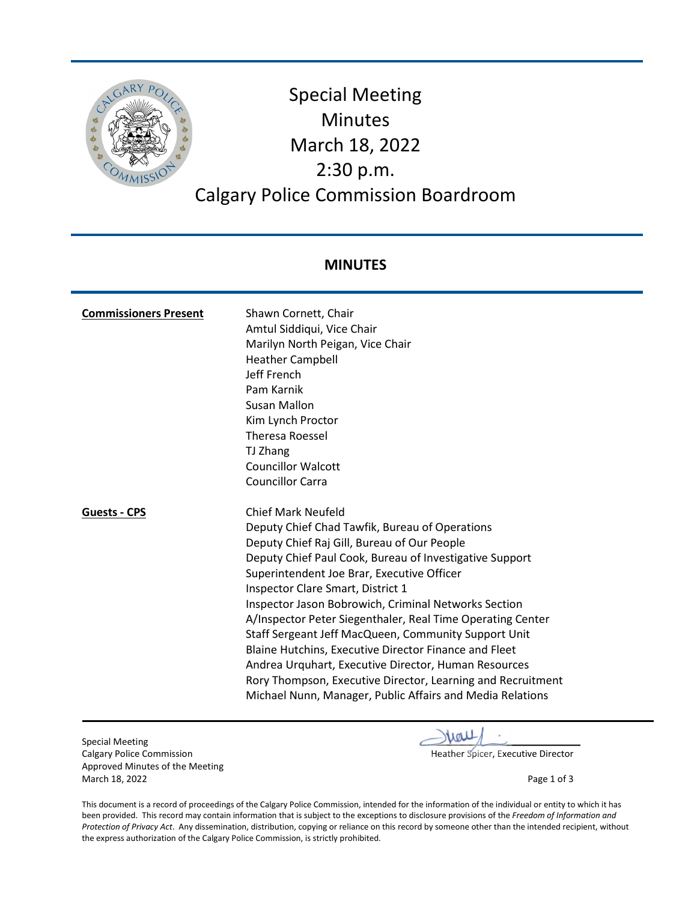

# Special Meeting Minutes March 18, 2022 2:30 p.m. Calgary Police Commission Boardroom

# **MINUTES**

| <b>Commissioners Present</b> | Shawn Cornett, Chair<br>Amtul Siddiqui, Vice Chair<br>Marilyn North Peigan, Vice Chair<br><b>Heather Campbell</b><br>Jeff French<br>Pam Karnik<br>Susan Mallon<br>Kim Lynch Proctor<br><b>Theresa Roessel</b><br>TJ Zhang<br><b>Councillor Walcott</b><br><b>Councillor Carra</b>                                                                                                                                                                                                                                                                                                                                                                                                                   |
|------------------------------|-----------------------------------------------------------------------------------------------------------------------------------------------------------------------------------------------------------------------------------------------------------------------------------------------------------------------------------------------------------------------------------------------------------------------------------------------------------------------------------------------------------------------------------------------------------------------------------------------------------------------------------------------------------------------------------------------------|
| <b>Guests - CPS</b>          | <b>Chief Mark Neufeld</b><br>Deputy Chief Chad Tawfik, Bureau of Operations<br>Deputy Chief Raj Gill, Bureau of Our People<br>Deputy Chief Paul Cook, Bureau of Investigative Support<br>Superintendent Joe Brar, Executive Officer<br>Inspector Clare Smart, District 1<br>Inspector Jason Bobrowich, Criminal Networks Section<br>A/Inspector Peter Siegenthaler, Real Time Operating Center<br>Staff Sergeant Jeff MacQueen, Community Support Unit<br>Blaine Hutchins, Executive Director Finance and Fleet<br>Andrea Urquhart, Executive Director, Human Resources<br>Rory Thompson, Executive Director, Learning and Recruitment<br>Michael Nunn, Manager, Public Affairs and Media Relations |

Special Meeting Calgary Police Commission **Calgary Police Commission Heather Spicer, Executive Director** Approved Minutes of the Meeting March 18, 2022 Page 1 of 3

reu

This document is a record of proceedings of the Calgary Police Commission, intended for the information of the individual or entity to which it has been provided. This record may contain information that is subject to the exceptions to disclosure provisions of the *Freedom of Information and Protection of Privacy Act*. Any dissemination, distribution, copying or reliance on this record by someone other than the intended recipient, without the express authorization of the Calgary Police Commission, is strictly prohibited.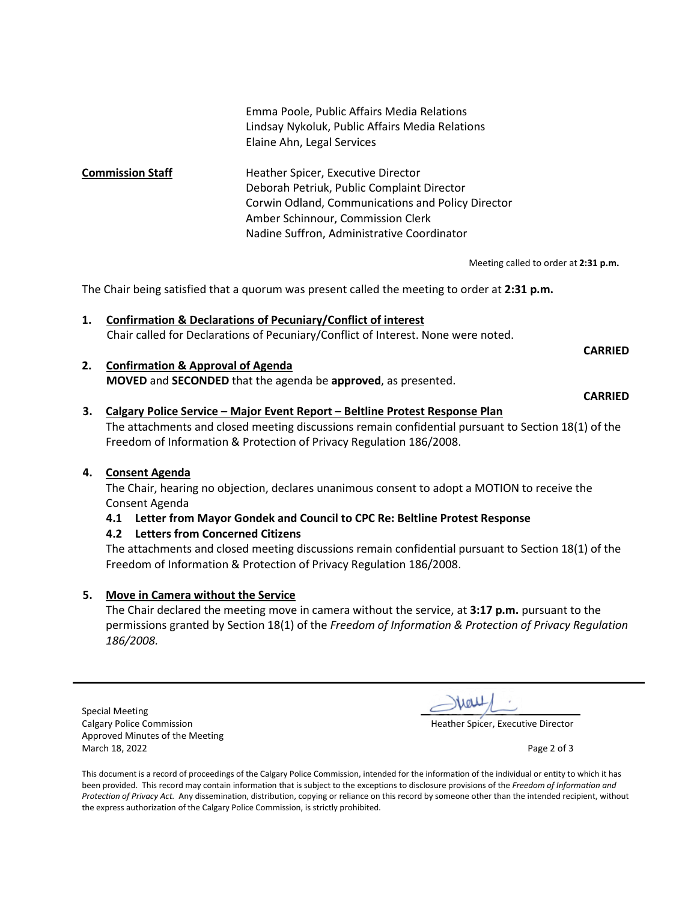|                         | Emma Poole, Public Affairs Media Relations<br>Lindsay Nykoluk, Public Affairs Media Relations<br>Elaine Ahn, Legal Services                                                                                              |  |
|-------------------------|--------------------------------------------------------------------------------------------------------------------------------------------------------------------------------------------------------------------------|--|
| <b>Commission Staff</b> | Heather Spicer, Executive Director<br>Deborah Petriuk, Public Complaint Director<br>Corwin Odland, Communications and Policy Director<br>Amber Schinnour, Commission Clerk<br>Nadine Suffron, Administrative Coordinator |  |
|                         |                                                                                                                                                                                                                          |  |

Meeting called to order at **2:31 p.m.** 

The Chair being satisfied that a quorum was present called the meeting to order at **2:31 p.m.** 

- **1. Confirmation & Declarations of Pecuniary/Conflict of interest**  Chair called for Declarations of Pecuniary/Conflict of Interest. None were noted.
- **2. Confirmation & Approval of Agenda MOVED** and **SECONDED** that the agenda be **approved**, as presented.

 **CARRIED**

**CARRIED**

# **3. Calgary Police Service – Major Event Report – Beltline Protest Response Plan**  The attachments and closed meeting discussions remain confidential pursuant to Section 18(1) of the Freedom of Information & Protection of Privacy Regulation 186/2008.

## **4. Consent Agenda**

The Chair, hearing no objection, declares unanimous consent to adopt a MOTION to receive the Consent Agenda

## **4.1 Letter from Mayor Gondek and Council to CPC Re: Beltline Protest Response**

## **4.2 Letters from Concerned Citizens**

The attachments and closed meeting discussions remain confidential pursuant to Section 18(1) of the Freedom of Information & Protection of Privacy Regulation 186/2008.

#### **5. Move in Camera without the Service**

The Chair declared the meeting move in camera without the service, at **3:17 p.m.** pursuant to the permissions granted by Section 18(1) of the *Freedom of Information & Protection of Privacy Regulation 186/2008.*

Special Meeting Calgary Police Commission **Executive Director Calgary Police Commission Heather Spicer, Executive Director** Approved Minutes of the Meeting March 18, 2022 **Page 2 of 3** Page 2 of 3

This document is a record of proceedings of the Calgary Police Commission, intended for the information of the individual or entity to which it has been provided. This record may contain information that is subject to the exceptions to disclosure provisions of the *Freedom of Information and Protection of Privacy Act.* Any dissemination, distribution, copying or reliance on this record by someone other than the intended recipient, without the express authorization of the Calgary Police Commission, is strictly prohibited.